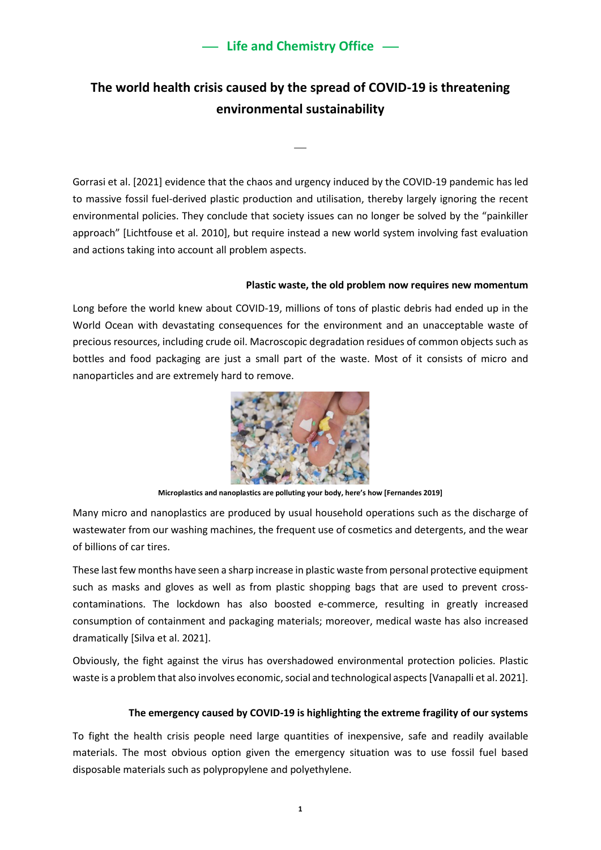# **The world health crisis caused by the spread of COVID-19 is threatening environmental sustainability**

⎯

Gorrasi et al. [2021] evidence that the chaos and urgency induced by the COVID-19 pandemic has led to massive fossil fuel-derived plastic production and utilisation, thereby largely ignoring the recent environmental policies. They conclude that society issues can no longer be solved by the "painkiller approach" [Lichtfouse et al. 2010], but require instead a new world system involving fast evaluation and actions taking into account all problem aspects.

#### **Plastic waste, the old problem now requires new momentum**

Long before the world knew about COVID-19, millions of tons of plastic debris had ended up in the World Ocean with devastating consequences for the environment and an unacceptable waste of precious resources, including crude oil. Macroscopic degradation residues of common objects such as bottles and food packaging are just a small part of the waste. Most of it consists of micro and nanoparticles and are extremely hard to remove.



**Microplastics and nanoplastics are polluting your body, here's how [Fernandes 2019]**

Many micro and nanoplastics are produced by usual household operations such as the discharge of wastewater from our washing machines, the frequent use of cosmetics and detergents, and the wear of billions of car tires.

These last few months have seen a sharp increase in plastic waste from personal protective equipment such as masks and gloves as well as from plastic shopping bags that are used to prevent crosscontaminations. The lockdown has also boosted e-commerce, resulting in greatly increased consumption of containment and packaging materials; moreover, medical waste has also increased dramatically [Silva et al. 2021].

Obviously, the fight against the virus has overshadowed environmental protection policies. Plastic waste is a problem that also involves economic, social and technological aspects [Vanapalli et al. 2021].

### **The emergency caused by COVID-19 is highlighting the extreme fragility of our systems**

To fight the health crisis people need large quantities of inexpensive, safe and readily available materials. The most obvious option given the emergency situation was to use fossil fuel based disposable materials such as polypropylene and polyethylene.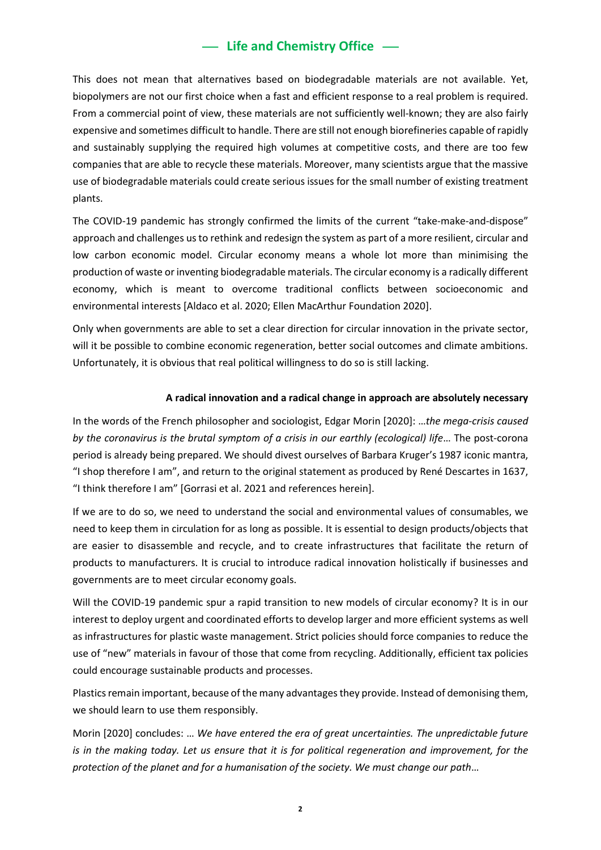# **- Life and Chemistry Office -**

This does not mean that alternatives based on biodegradable materials are not available. Yet, biopolymers are not our first choice when a fast and efficient response to a real problem is required. From a commercial point of view, these materials are not sufficiently well-known; they are also fairly expensive and sometimes difficult to handle. There are still not enough biorefineries capable of rapidly and sustainably supplying the required high volumes at competitive costs, and there are too few companies that are able to recycle these materials. Moreover, many scientists argue that the massive use of biodegradable materials could create serious issues for the small number of existing treatment plants.

The COVID-19 pandemic has strongly confirmed the limits of the current "take-make-and-dispose" approach and challenges us to rethink and redesign the system as part of a more resilient, circular and low carbon economic model. Circular economy means a whole lot more than minimising the production of waste or inventing biodegradable materials. The circular economy is a radically different economy, which is meant to overcome traditional conflicts between socioeconomic and environmental interests [Aldaco et al. 2020; Ellen MacArthur Foundation 2020].

Only when governments are able to set a clear direction for circular innovation in the private sector, will it be possible to combine economic regeneration, better social outcomes and climate ambitions. Unfortunately, it is obvious that real political willingness to do so is still lacking.

### **A radical innovation and a radical change in approach are absolutely necessary**

In the words of the French philosopher and sociologist, Edgar Morin [2020]: …*the mega-crisis caused*  by the coronavirus is the brutal symptom of a crisis in our earthly (ecological) life... The post-corona period is already being prepared. We should divest ourselves of Barbara Kruger's 1987 iconic mantra, "I shop therefore I am", and return to the original statement as produced by René Descartes in 1637, "I think therefore I am" [Gorrasi et al. 2021 and references herein].

If we are to do so, we need to understand the social and environmental values of consumables, we need to keep them in circulation for as long as possible. It is essential to design products/objects that are easier to disassemble and recycle, and to create infrastructures that facilitate the return of products to manufacturers. It is crucial to introduce radical innovation holistically if businesses and governments are to meet circular economy goals.

Will the COVID-19 pandemic spur a rapid transition to new models of circular economy? It is in our interest to deploy urgent and coordinated efforts to develop larger and more efficient systems as well as infrastructures for plastic waste management. Strict policies should force companies to reduce the use of "new" materials in favour of those that come from recycling. Additionally, efficient tax policies could encourage sustainable products and processes.

Plastics remain important, because of the many advantages they provide. Instead of demonising them, we should learn to use them responsibly.

Morin [2020] concludes: … *We have entered the era of great uncertainties. The unpredictable future is in the making today. Let us ensure that it is for political regeneration and improvement, for the protection of the planet and for a humanisation of the society. We must change our path*…